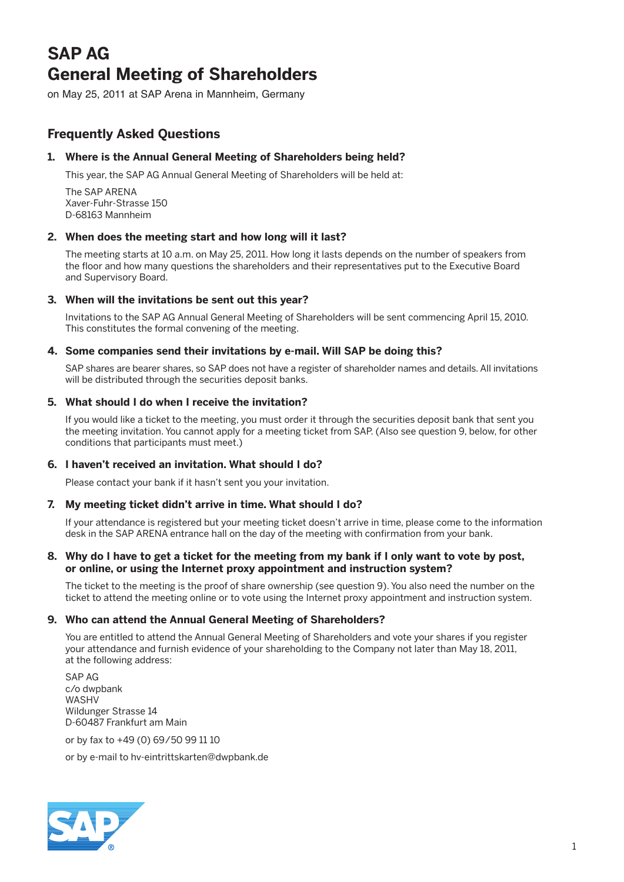# **SAP AG General Meeting of Shareholders**

on May 25, 2011 at SAP Arena in Mannheim, Germany

# **Frequently Asked Questions**

# **1. Where is the Annual General Meeting of Shareholders being held?**

This year, the SAP AG Annual General Meeting of Shareholders will be held at:

 The SAP ARENA Xaver-Fuhr-Strasse 150 D-68163 Mannheim

# **2. When does the meeting start and how long will it last?**

 The meeting starts at 10 a.m. on May 25, 2011. How long it lasts depends on the number of speakers from the floor and how many questions the shareholders and their representatives put to the Executive Board and Supervisory Board.

# **3. When will the invitations be sent out this year?**

 Invitations to the SAP AG Annual General Meeting of Shareholders will be sent commencing April 15, 2010. This constitutes the formal convening of the meeting.

# **4. Some companies send their invitations by e-mail. Will SAP be doing this?**

 SAP shares are bearer shares, so SAP does not have a register of shareholder names and details. All invitations will be distributed through the securities deposit banks.

# **5. What should I do when I receive the invitation?**

 If you would like a ticket to the meeting, you must order it through the securities deposit bank that sent you the meeting invitation. You cannot apply for a meeting ticket from SAP. (Also see question 9, below, for other conditions that participants must meet.)

#### **6. I haven't received an invitation. What should I do?**

Please contact your bank if it hasn't sent you your invitation.

# **7. My meeting ticket didn't arrive in time. What should I do?**

 If your attendance is registered but your meeting ticket doesn't arrive in time, please come to the information desk in the SAP ARENA entrance hall on the day of the meeting with confirmation from your bank.

#### **8. Why do I have to get a ticket for the meeting from my bank if I only want to vote by post, or online, or using the Internet proxy appointment and instruction system?**

 The ticket to the meeting is the proof of share ownership (see question 9). You also need the number on the ticket to attend the meeting online or to vote using the Internet proxy appointment and instruction system.

#### **9. Who can attend the Annual General Meeting of Shareholders?**

 You are entitled to attend the Annual General Meeting of Shareholders and vote your shares if you register your attendance and furnish evidence of your shareholding to the Company not later than May 18, 2011, at the following address:

 SAP AG c/o dwpbank WASHV Wildunger Strasse 14 D-60487 Frankfurt am Main

or by fax to +49 (0) 69/50 99 11 10

or by e-mail to hv-eintrittskarten@dwpbank.de

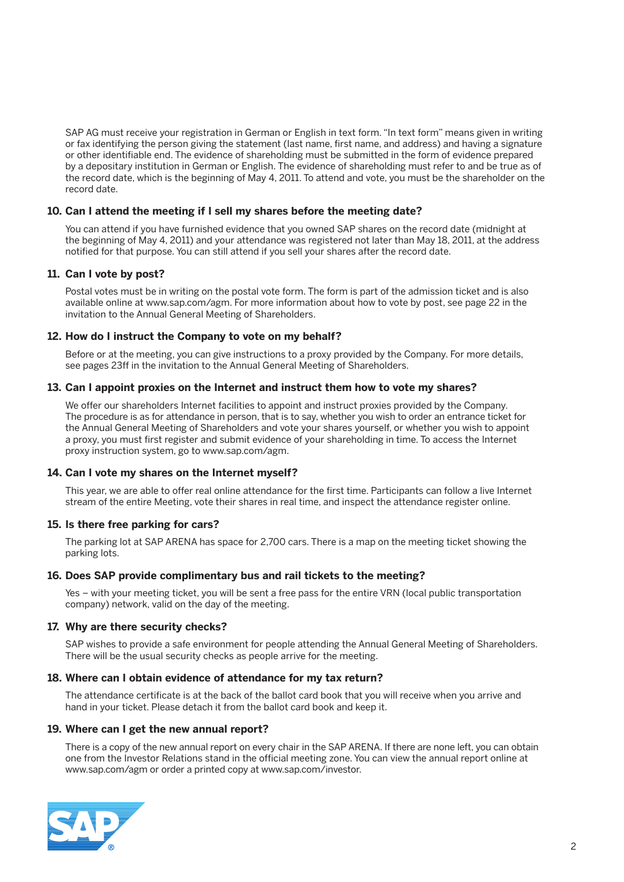SAP AG must receive your registration in German or English in text form. "In text form" means given in writing or fax identifying the person giving the statement (last name, first name, and address) and having a signature or other identifiable end. The evidence of shareholding must be submitted in the form of evidence prepared by a depositary institution in German or English. The evidence of shareholding must refer to and be true as of the record date, which is the beginning of May 4, 2011. To attend and vote, you must be the shareholder on the record date.

# **10. Can I attend the meeting if I sell my shares before the meeting date?**

 You can attend if you have furnished evidence that you owned SAP shares on the record date (midnight at the beginning of May 4, 2011) and your attendance was registered not later than May 18, 2011, at the address notified for that purpose. You can still attend if you sell your shares after the record date.

# **11. Can I vote by post?**

 Postal votes must be in writing on the postal vote form. The form is part of the admission ticket and is also available online at www.sap.com/agm. For more information about how to vote by post, see page 22 in the invitation to the Annual General Meeting of Shareholders.

# **12. How do I instruct the Company to vote on my behalf?**

 Before or at the meeting, you can give instructions to a proxy provided by the Company. For more details, see pages 23ff in the invitation to the Annual General Meeting of Shareholders.

# **13. Can I appoint proxies on the Internet and instruct them how to vote my shares?**

 We offer our shareholders Internet facilities to appoint and instruct proxies provided by the Company. The procedure is as for attendance in person, that is to say, whether you wish to order an entrance ticket for the Annual General Meeting of Shareholders and vote your shares yourself, or whether you wish to appoint a proxy, you must first register and submit evidence of your shareholding in time. To access the Internet proxy instruction system, go to www.sap.com/agm.

#### **14. Can I vote my shares on the Internet myself?**

 This year, we are able to offer real online attendance for the first time. Participants can follow a live Internet stream of the entire Meeting, vote their shares in real time, and inspect the attendance register online.

# **15. Is there free parking for cars?**

 The parking lot at SAP ARENA has space for 2,700 cars. There is a map on the meeting ticket showing the parking lots.

#### **16. Does SAP provide complimentary bus and rail tickets to the meeting?**

 Yes – with your meeting ticket, you will be sent a free pass for the entire VRN (local public transportation company) network, valid on the day of the meeting.

#### **17. Why are there security checks?**

 SAP wishes to provide a safe environment for people attending the Annual General Meeting of Shareholders. There will be the usual security checks as people arrive for the meeting.

#### **18. Where can I obtain evidence of attendance for my tax return?**

 The attendance certificate is at the back of the ballot card book that you will receive when you arrive and hand in your ticket. Please detach it from the ballot card book and keep it.

#### **19. Where can I get the new annual report?**

 There is a copy of the new annual report on every chair in the SAP ARENA. If there are none left, you can obtain one from the Investor Relations stand in the official meeting zone. You can view the annual report online at www.sap.com/agm or order a printed copy at www.sap.com/investor.